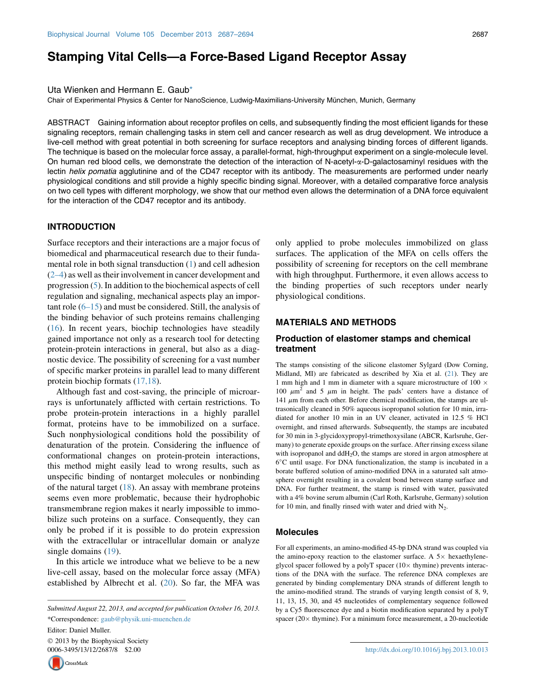# Stamping Vital Cells—a Force-Based Ligand Receptor Assay

Uta Wienken and Hermann E. Gaub\*

Chair of Experimental Physics & Center for NanoScience, Ludwig-Maximilians-University München, Munich, Germany

ABSTRACT Gaining information about receptor profiles on cells, and subsequently finding the most efficient ligands for these signaling receptors, remain challenging tasks in stem cell and cancer research as well as drug development. We introduce a live-cell method with great potential in both screening for surface receptors and analysing binding forces of different ligands. The technique is based on the molecular force assay, a parallel-format, high-throughput experiment on a single-molecule level. On human red blood cells, we demonstrate the detection of the interaction of N-acetyl-a-D-galactosaminyl residues with the lectin helix pomatia agglutinine and of the CD47 receptor with its antibody. The measurements are performed under nearly physiological conditions and still provide a highly specific binding signal. Moreover, with a detailed comparative force analysis on two cell types with different morphology, we show that our method even allows the determination of a DNA force equivalent for the interaction of the CD47 receptor and its antibody.

### INTRODUCTION

Surface receptors and their interactions are a major focus of biomedical and pharmaceutical research due to their fundamental role in both signal transduction ([1\)](#page-6-0) and cell adhesion ([2–4\)](#page-6-0) as well as their involvement in cancer development and progression [\(5](#page-6-0)). In addition to the biochemical aspects of cell regulation and signaling, mechanical aspects play an important role ([6–15\)](#page-6-0) and must be considered. Still, the analysis of the binding behavior of such proteins remains challenging ([16\)](#page-6-0). In recent years, biochip technologies have steadily gained importance not only as a research tool for detecting protein-protein interactions in general, but also as a diagnostic device. The possibility of screening for a vast number of specific marker proteins in parallel lead to many different protein biochip formats ([17,18\)](#page-6-0).

Although fast and cost-saving, the principle of microarrays is unfortunately afflicted with certain restrictions. To probe protein-protein interactions in a highly parallel format, proteins have to be immobilized on a surface. Such nonphysiological conditions hold the possibility of denaturation of the protein. Considering the influence of conformational changes on protein-protein interactions, this method might easily lead to wrong results, such as unspecific binding of nontarget molecules or nonbinding of the natural target  $(18)$  $(18)$ . An assay with membrane proteins seems even more problematic, because their hydrophobic transmembrane region makes it nearly impossible to immobilize such proteins on a surface. Consequently, they can only be probed if it is possible to do protein expression with the extracellular or intracellular domain or analyze single domains ([19\)](#page-6-0).

In this article we introduce what we believe to be a new live-cell assay, based on the molecular force assay (MFA) established by Albrecht et al. [\(20](#page-6-0)). So far, the MFA was

Editor: Daniel Muller.

2013 by the Biophysical Society



only applied to probe molecules immobilized on glass surfaces. The application of the MFA on cells offers the possibility of screening for receptors on the cell membrane with high throughput. Furthermore, it even allows access to the binding properties of such receptors under nearly physiological conditions.

# MATERIALS AND METHODS

# Production of elastomer stamps and chemical treatment

The stamps consisting of the silicone elastomer Sylgard (Dow Corning, Midland, MI) are fabricated as described by Xia et al. [\(21](#page-6-0)). They are 1 mm high and 1 mm in diameter with a square microstructure of 100  $\times$ 100  $\mu$ m<sup>2</sup> and 5  $\mu$ m in height. The pads' centers have a distance of 141  $\mu$ m from each other. Before chemical modification, the stamps are ultrasonically cleaned in 50% aqueous isopropanol solution for 10 min, irradiated for another 10 min in an UV cleaner, activated in 12.5 % HCl overnight, and rinsed afterwards. Subsequently, the stamps are incubated for 30 min in 3-glycidoxypropyl-trimethoxysilane (ABCR, Karlsruhe, Germany) to generate epoxide groups on the surface. After rinsing excess silane with isopropanol and ddH<sub>2</sub>O, the stamps are stored in argon atmosphere at  $6^{\circ}$ C until usage. For DNA functionalization, the stamp is incubated in a borate buffered solution of amino-modified DNA in a saturated salt atmosphere overnight resulting in a covalent bond between stamp surface and DNA. For further treatment, the stamp is rinsed with water, passivated with a 4% bovine serum albumin (Carl Roth, Karlsruhe, Germany) solution for 10 min, and finally rinsed with water and dried with  $N_2$ .

#### Molecules

For all experiments, an amino-modified 45-bp DNA strand was coupled via the amino-epoxy reaction to the elastomer surface. A  $5\times$  hexaethyleneglycol spacer followed by a polyT spacer ( $10 \times$  thymine) prevents interactions of the DNA with the surface. The reference DNA complexes are generated by binding complementary DNA strands of different length to the amino-modified strand. The strands of varying length consist of 8, 9, 11, 13, 15, 30, and 45 nucleotides of complementary sequence followed by a Cy5 fluorescence dye and a biotin modification separated by a polyT spacer ( $20 \times$  thymine). For a minimum force measurement, a  $20$ -nucleotide

Submitted August 22, 2013, and accepted for publication October 16, 2013. \*Correspondence: [gaub@physik.uni-muenchen.de](mailto:gaub@physik.uni-muenchen.de)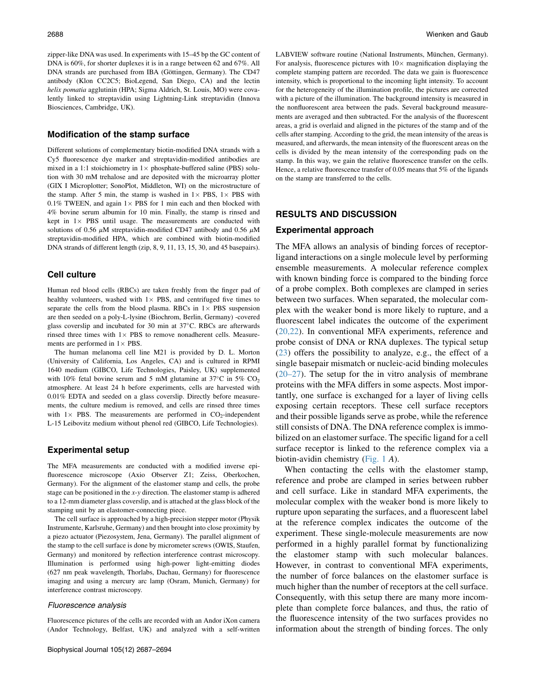zipper-like DNA was used. In experiments with 15–45 bp the GC content of DNA is 60%, for shorter duplexes it is in a range between 62 and 67%. All DNA strands are purchased from IBA (Göttingen, Germany). The CD47 antibody (Klon CC2C5; BioLegend, San Diego, CA) and the lectin helix pomatia agglutinin (HPA; Sigma Aldrich, St. Louis, MO) were covalently linked to streptavidin using Lightning-Link streptavidin (Innova Biosciences, Cambridge, UK).

### Modification of the stamp surface

Different solutions of complementary biotin-modified DNA strands with a Cy5 fluorescence dye marker and streptavidin-modified antibodies are mixed in a 1:1 stoichiometry in  $1 \times$  phosphate-buffered saline (PBS) solution with 30 mM trehalose and are deposited with the microarray plotter (GIX I Microplotter; SonoPlot, Middleton, WI) on the microstructure of the stamp. After 5 min, the stamp is washed in  $1 \times$  PBS,  $1 \times$  PBS with 0.1% TWEEN, and again  $1 \times$  PBS for 1 min each and then blocked with 4% bovine serum albumin for 10 min. Finally, the stamp is rinsed and kept in  $1 \times$  PBS until usage. The measurements are conducted with solutions of 0.56  $\mu$ M streptavidin-modified CD47 antibody and 0.56  $\mu$ M streptavidin-modified HPA, which are combined with biotin-modified DNA strands of different length (zip, 8, 9, 11, 13, 15, 30, and 45 basepairs).

### Cell culture

Human red blood cells (RBCs) are taken freshly from the finger pad of healthy volunteers, washed with  $1 \times$  PBS, and centrifuged five times to separate the cells from the blood plasma. RBCs in  $1 \times$  PBS suspension are then seeded on a poly-L-lysine (Biochrom, Berlin, Germany) -covered glass coverslip and incubated for 30 min at  $37^{\circ}$ C. RBCs are afterwards rinsed three times with  $1 \times$  PBS to remove nonadherent cells. Measurements are performed in  $1 \times$  PBS.

The human melanoma cell line M21 is provided by D. L. Morton (University of California, Los Angeles, CA) and is cultured in RPMI 1640 medium (GIBCO, Life Technologies, Paisley, UK) supplemented with 10% fetal bovine serum and 5 mM glutamine at 37°C in 5%  $CO<sub>2</sub>$ atmosphere. At least 24 h before experiments, cells are harvested with 0.01% EDTA and seeded on a glass coverslip. Directly before measurements, the culture medium is removed, and cells are rinsed three times with  $1 \times$  PBS. The measurements are performed in CO<sub>2</sub>-independent L-15 Leibovitz medium without phenol red (GIBCO, Life Technologies).

### Experimental setup

The MFA measurements are conducted with a modified inverse epifluorescence microscope (Axio Observer Z1; Zeiss, Oberkochen, Germany). For the alignment of the elastomer stamp and cells, the probe stage can be positioned in the x-y direction. The elastomer stamp is adhered to a 12-mm diameter glass coverslip, and is attached at the glass block of the stamping unit by an elastomer-connecting piece.

The cell surface is approached by a high-precision stepper motor (Physik Instrumente, Karlsruhe, Germany) and then brought into close proximity by a piezo actuator (Piezosystem, Jena, Germany). The parallel alignment of the stamp to the cell surface is done by micrometer screws (OWIS, Staufen, Germany) and monitored by reflection interference contrast microscopy. Illumination is performed using high-power light-emitting diodes (627 nm peak wavelength, Thorlabs, Dachau, Germany) for fluorescence imaging and using a mercury arc lamp (Osram, Munich, Germany) for interference contrast microscopy.

#### Fluorescence analysis

Fluorescence pictures of the cells are recorded with an Andor iXon camera (Andor Technology, Belfast, UK) and analyzed with a self-written LABVIEW software routine (National Instruments, München, Germany). For analysis, fluorescence pictures with  $10\times$  magnification displaying the complete stamping pattern are recorded. The data we gain is fluorescence intensity, which is proportional to the incoming light intensity. To account for the heterogeneity of the illumination profile, the pictures are corrected with a picture of the illumination. The background intensity is measured in the nonfluorescent area between the pads. Several background measurements are averaged and then subtracted. For the analysis of the fluorescent areas, a grid is overlaid and aligned in the pictures of the stamp and of the cells after stamping. According to the grid, the mean intensity of the areas is measured, and afterwards, the mean intensity of the fluorescent areas on the cells is divided by the mean intensity of the corresponding pads on the stamp. In this way, we gain the relative fluorescence transfer on the cells. Hence, a relative fluorescence transfer of 0.05 means that 5% of the ligands on the stamp are transferred to the cells.

# RESULTS AND DISCUSSION

### Experimental approach

The MFA allows an analysis of binding forces of receptorligand interactions on a single molecule level by performing ensemble measurements. A molecular reference complex with known binding force is compared to the binding force of a probe complex. Both complexes are clamped in series between two surfaces. When separated, the molecular complex with the weaker bond is more likely to rupture, and a fluorescent label indicates the outcome of the experiment ([20,22](#page-6-0)). In conventional MFA experiments, reference and probe consist of DNA or RNA duplexes. The typical setup ([23\)](#page-6-0) offers the possibility to analyze, e.g., the effect of a single basepair mismatch or nucleic-acid binding molecules ([20–27\)](#page-6-0). The setup for the in vitro analysis of membrane proteins with the MFA differs in some aspects. Most importantly, one surface is exchanged for a layer of living cells exposing certain receptors. These cell surface receptors and their possible ligands serve as probe, while the reference still consists of DNA. The DNA reference complex is immobilized on an elastomer surface. The specific ligand for a cell surface receptor is linked to the reference complex via a biotin-avidin chemistry ([Fig. 1](#page-2-0) A).

When contacting the cells with the elastomer stamp, reference and probe are clamped in series between rubber and cell surface. Like in standard MFA experiments, the molecular complex with the weaker bond is more likely to rupture upon separating the surfaces, and a fluorescent label at the reference complex indicates the outcome of the experiment. These single-molecule measurements are now performed in a highly parallel format by functionalizing the elastomer stamp with such molecular balances. However, in contrast to conventional MFA experiments, the number of force balances on the elastomer surface is much higher than the number of receptors at the cell surface. Consequently, with this setup there are many more incomplete than complete force balances, and thus, the ratio of the fluorescence intensity of the two surfaces provides no information about the strength of binding forces. The only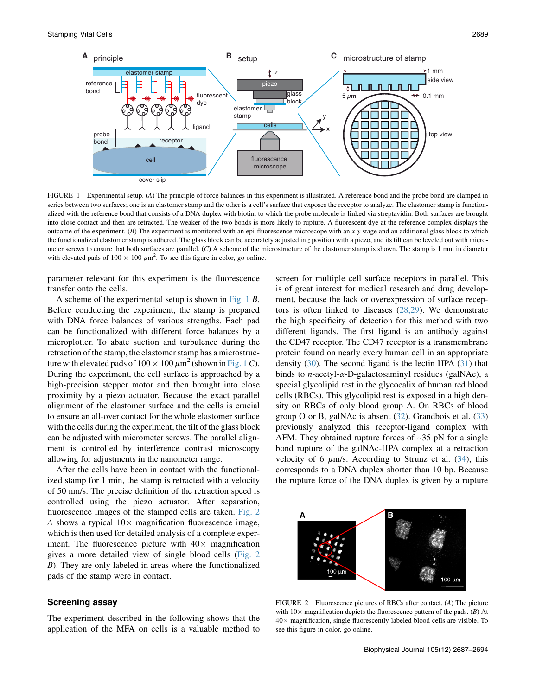<span id="page-2-0"></span>

FIGURE 1 Experimental setup. (A) The principle of force balances in this experiment is illustrated. A reference bond and the probe bond are clamped in series between two surfaces; one is an elastomer stamp and the other is a cell's surface that exposes the receptor to analyze. The elastomer stamp is functionalized with the reference bond that consists of a DNA duplex with biotin, to which the probe molecule is linked via streptavidin. Both surfaces are brought into close contact and then are retracted. The weaker of the two bonds is more likely to rupture. A fluorescent dye at the reference complex displays the outcome of the experiment. (B) The experiment is monitored with an epi-fluorescence microscope with an  $x$ -y stage and an additional glass block to which the functionalized elastomer stamp is adhered. The glass block can be accurately adjusted in z position with a piezo, and its tilt can be leveled out with micrometer screws to ensure that both surfaces are parallel. (C) A scheme of the microstructure of the elastomer stamp is shown. The stamp is 1 mm in diameter with elevated pads of  $100 \times 100 \ \mu \text{m}^2$ . To see this figure in color, go online.

parameter relevant for this experiment is the fluorescence transfer onto the cells.

A scheme of the experimental setup is shown in Fig. 1 B. Before conducting the experiment, the stamp is prepared with DNA force balances of various strengths. Each pad can be functionalized with different force balances by a microplotter. To abate suction and turbulence during the retraction of the stamp, the elastomer stamp has a microstructure with elevated pads of  $100 \times 100 \mu m^2$  (shown in Fig. 1 C). During the experiment, the cell surface is approached by a high-precision stepper motor and then brought into close proximity by a piezo actuator. Because the exact parallel alignment of the elastomer surface and the cells is crucial to ensure an all-over contact for the whole elastomer surface with the cells during the experiment, the tilt of the glass block can be adjusted with micrometer screws. The parallel alignment is controlled by interference contrast microscopy allowing for adjustments in the nanometer range.

After the cells have been in contact with the functionalized stamp for 1 min, the stamp is retracted with a velocity of 50 nm/s. The precise definition of the retraction speed is controlled using the piezo actuator. After separation, fluorescence images of the stamped cells are taken. Fig. 2 A shows a typical  $10 \times$  magnification fluorescence image, which is then used for detailed analysis of a complete experiment. The fluorescence picture with  $40 \times$  magnification gives a more detailed view of single blood cells (Fig. 2 B). They are only labeled in areas where the functionalized pads of the stamp were in contact.

### Screening assay

The experiment described in the following shows that the application of the MFA on cells is a valuable method to screen for multiple cell surface receptors in parallel. This is of great interest for medical research and drug development, because the lack or overexpression of surface receptors is often linked to diseases ([28,29](#page-7-0)). We demonstrate the high specificity of detection for this method with two different ligands. The first ligand is an antibody against the CD47 receptor. The CD47 receptor is a transmembrane protein found on nearly every human cell in an appropriate density ([30\)](#page-7-0). The second ligand is the lectin HPA [\(31](#page-7-0)) that binds to *n*-acetyl- $\alpha$ -D-galactosaminyl residues (galNAc), a special glycolipid rest in the glycocalix of human red blood cells (RBCs). This glycolipid rest is exposed in a high density on RBCs of only blood group A. On RBCs of blood group O or B, galNAc is absent  $(32)$  $(32)$ . Grandbois et al.  $(33)$  $(33)$ previously analyzed this receptor-ligand complex with AFM. They obtained rupture forces of ~35 pN for a single bond rupture of the galNAc-HPA complex at a retraction velocity of 6  $\mu$ m/s. According to Strunz et al. ([34\)](#page-7-0), this corresponds to a DNA duplex shorter than 10 bp. Because the rupture force of the DNA duplex is given by a rupture



FIGURE 2 Fluorescence pictures of RBCs after contact. (A) The picture with  $10 \times$  magnification depicts the fluorescence pattern of the pads. (B) At  $40 \times$  magnification, single fluorescently labeled blood cells are visible. To see this figure in color, go online.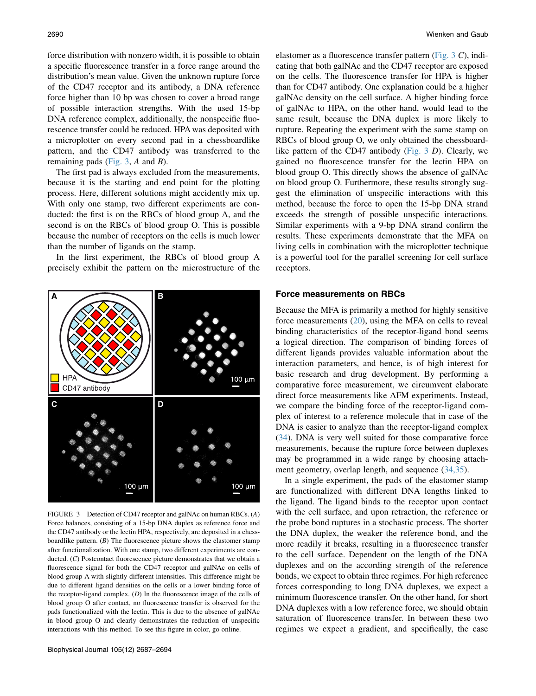<span id="page-3-0"></span>force distribution with nonzero width, it is possible to obtain a specific fluorescence transfer in a force range around the distribution's mean value. Given the unknown rupture force of the CD47 receptor and its antibody, a DNA reference force higher than 10 bp was chosen to cover a broad range of possible interaction strengths. With the used 15-bp DNA reference complex, additionally, the nonspecific fluorescence transfer could be reduced. HPA was deposited with a microplotter on every second pad in a chessboardlike pattern, and the CD47 antibody was transferred to the remaining pads (Fig.  $3$ , A and B).

The first pad is always excluded from the measurements, because it is the starting and end point for the plotting process. Here, different solutions might accidently mix up. With only one stamp, two different experiments are conducted: the first is on the RBCs of blood group A, and the second is on the RBCs of blood group O. This is possible because the number of receptors on the cells is much lower than the number of ligands on the stamp.

In the first experiment, the RBCs of blood group A precisely exhibit the pattern on the microstructure of the



FIGURE 3 Detection of CD47 receptor and galNAc on human RBCs. (A) Force balances, consisting of a 15-bp DNA duplex as reference force and the CD47 antibody or the lectin HPA, respectively, are deposited in a chessboardlike pattern.  $(B)$  The fluorescence picture shows the elastomer stamp after functionalization. With one stamp, two different experiments are conducted. (C) Postcontact fluorescence picture demonstrates that we obtain a fluorescence signal for both the CD47 receptor and galNAc on cells of blood group A with slightly different intensities. This difference might be due to different ligand densities on the cells or a lower binding force of the receptor-ligand complex.  $(D)$  In the fluorescence image of the cells of blood group O after contact, no fluorescence transfer is observed for the pads functionalized with the lectin. This is due to the absence of galNAc in blood group O and clearly demonstrates the reduction of unspecific interactions with this method. To see this figure in color, go online.

elastomer as a fluorescence transfer pattern (Fig. 3 C), indicating that both galNAc and the CD47 receptor are exposed on the cells. The fluorescence transfer for HPA is higher than for CD47 antibody. One explanation could be a higher galNAc density on the cell surface. A higher binding force of galNAc to HPA, on the other hand, would lead to the same result, because the DNA duplex is more likely to rupture. Repeating the experiment with the same stamp on RBCs of blood group O, we only obtained the chessboardlike pattern of the CD47 antibody (Fig.  $3$  D). Clearly, we gained no fluorescence transfer for the lectin HPA on blood group O. This directly shows the absence of galNAc on blood group O. Furthermore, these results strongly suggest the elimination of unspecific interactions with this method, because the force to open the 15-bp DNA strand exceeds the strength of possible unspecific interactions. Similar experiments with a 9-bp DNA strand confirm the results. These experiments demonstrate that the MFA on living cells in combination with the microplotter technique is a powerful tool for the parallel screening for cell surface receptors.

# Force measurements on RBCs

Because the MFA is primarily a method for highly sensitive force measurements  $(20)$  $(20)$ , using the MFA on cells to reveal binding characteristics of the receptor-ligand bond seems a logical direction. The comparison of binding forces of different ligands provides valuable information about the interaction parameters, and hence, is of high interest for basic research and drug development. By performing a comparative force measurement, we circumvent elaborate direct force measurements like AFM experiments. Instead, we compare the binding force of the receptor-ligand complex of interest to a reference molecule that in case of the DNA is easier to analyze than the receptor-ligand complex ([34\)](#page-7-0). DNA is very well suited for those comparative force measurements, because the rupture force between duplexes may be programmed in a wide range by choosing attachment geometry, overlap length, and sequence [\(34,35\)](#page-7-0).

In a single experiment, the pads of the elastomer stamp are functionalized with different DNA lengths linked to the ligand. The ligand binds to the receptor upon contact with the cell surface, and upon retraction, the reference or the probe bond ruptures in a stochastic process. The shorter the DNA duplex, the weaker the reference bond, and the more readily it breaks, resulting in a fluorescence transfer to the cell surface. Dependent on the length of the DNA duplexes and on the according strength of the reference bonds, we expect to obtain three regimes. For high reference forces corresponding to long DNA duplexes, we expect a minimum fluorescence transfer. On the other hand, for short DNA duplexes with a low reference force, we should obtain saturation of fluorescence transfer. In between these two regimes we expect a gradient, and specifically, the case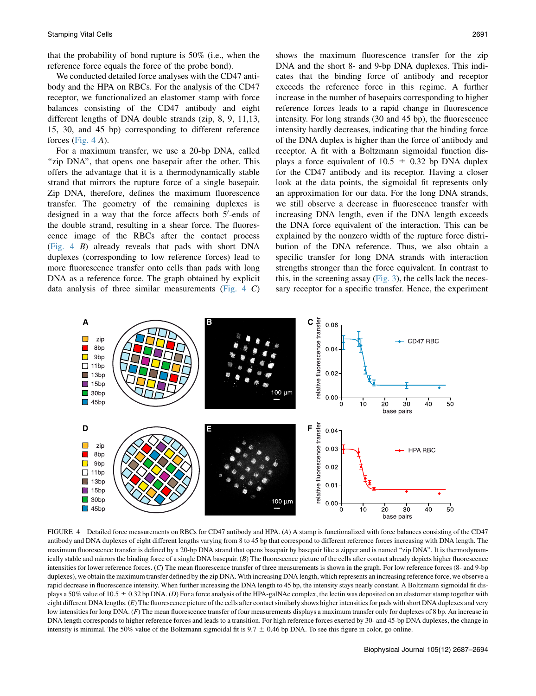<span id="page-4-0"></span>that the probability of bond rupture is 50% (i.e., when the reference force equals the force of the probe bond).

We conducted detailed force analyses with the CD47 antibody and the HPA on RBCs. For the analysis of the CD47 receptor, we functionalized an elastomer stamp with force balances consisting of the CD47 antibody and eight different lengths of DNA double strands (zip, 8, 9, 11,13, 15, 30, and 45 bp) corresponding to different reference forces (Fig.  $4 A$ ).

For a maximum transfer, we use a 20-bp DNA, called "zip DNA", that opens one basepair after the other. This offers the advantage that it is a thermodynamically stable strand that mirrors the rupture force of a single basepair. Zip DNA, therefore, defines the maximum fluorescence transfer. The geometry of the remaining duplexes is designed in a way that the force affects both 5'-ends of the double strand, resulting in a shear force. The fluorescence image of the RBCs after the contact process (Fig. 4 B) already reveals that pads with short DNA duplexes (corresponding to low reference forces) lead to more fluorescence transfer onto cells than pads with long DNA as a reference force. The graph obtained by explicit data analysis of three similar measurements (Fig.  $4 \, C$ ) shows the maximum fluorescence transfer for the zip DNA and the short 8- and 9-bp DNA duplexes. This indicates that the binding force of antibody and receptor exceeds the reference force in this regime. A further increase in the number of basepairs corresponding to higher reference forces leads to a rapid change in fluorescence intensity. For long strands (30 and 45 bp), the fluorescence intensity hardly decreases, indicating that the binding force of the DNA duplex is higher than the force of antibody and receptor. A fit with a Boltzmann sigmoidal function displays a force equivalent of 10.5  $\pm$  0.32 bp DNA duplex for the CD47 antibody and its receptor. Having a closer look at the data points, the sigmoidal fit represents only an approximation for our data. For the long DNA strands, we still observe a decrease in fluorescence transfer with increasing DNA length, even if the DNA length exceeds the DNA force equivalent of the interaction. This can be explained by the nonzero width of the rupture force distribution of the DNA reference. Thus, we also obtain a specific transfer for long DNA strands with interaction strengths stronger than the force equivalent. In contrast to this, in the screening assay [\(Fig. 3](#page-3-0)), the cells lack the necessary receptor for a specific transfer. Hence, the experiment



FIGURE 4 Detailed force measurements on RBCs for CD47 antibody and HPA. (A) A stamp is functionalized with force balances consisting of the CD47 antibody and DNA duplexes of eight different lengths varying from 8 to 45 bp that correspond to different reference forces increasing with DNA length. The maximum fluorescence transfer is defined by a 20-bp DNA strand that opens basepair by basepair like a zipper and is named "zip DNA". It is thermodynamically stable and mirrors the binding force of a single DNA basepair. (B) The fluorescence picture of the cells after contact already depicts higher fluorescence intensities for lower reference forces. (C) The mean fluorescence transfer of three measurements is shown in the graph. For low reference forces (8- and 9-bp duplexes), we obtain the maximum transfer defined by the zip DNA. With increasing DNA length, which represents an increasing reference force, we observe a rapid decrease in fluorescence intensity. When further increasing the DNA length to 45 bp, the intensity stays nearly constant. A Boltzmann sigmoidal fit displays a 50% value of 10.5  $\pm$  0.32 bp DNA. (D) For a force analysis of the HPA-galNAc complex, the lectin was deposited on an elastomer stamp together with eight different DNA lengths. (E) The fluorescence picture of the cells after contact similarly shows higher intensities for pads with short DNA duplexes and very low intensities for long DNA. (F) The mean fluorescence transfer of four measurements displays a maximum transfer only for duplexes of 8 bp. An increase in DNA length corresponds to higher reference forces and leads to a transition. For high reference forces exerted by 30- and 45-bp DNA duplexes, the change in intensity is minimal. The 50% value of the Boltzmann sigmoidal fit is  $9.7 \pm 0.46$  bp DNA. To see this figure in color, go online.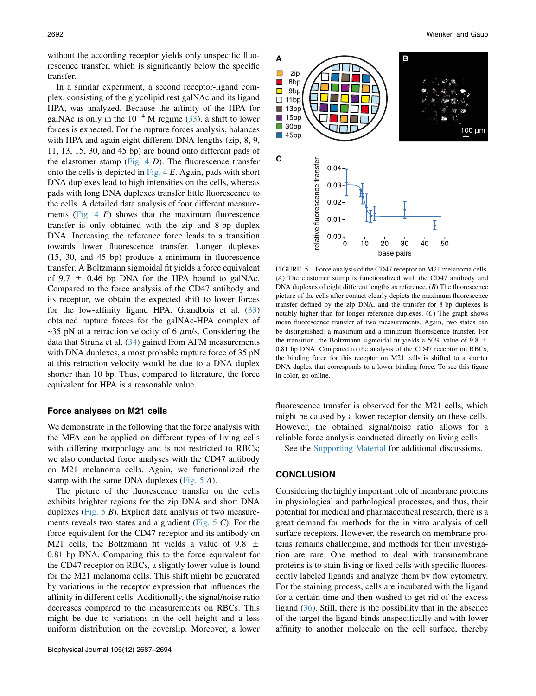without the according receptor yields only unspecific fluorescence transfer, which is significantly below the specific transfer.

In a similar experiment, a second receptor-ligand complex, consisting of the glycolipid rest galNAc and its ligand HPA, was analyzed. Because the affinity of the HPA for galNAc is only in the  $10^{-4}$  M regime [\(33](#page-7-0)), a shift to lower forces is expected. For the rupture forces analysis, balances with HPA and again eight different DNA lengths (zip, 8, 9, 11, 13, 15, 30, and 45 bp) are bound onto different pads of the elastomer stamp (Fig.  $4 D$ ). The fluorescence transfer onto the cells is depicted in Fig.  $4 E$ . Again, pads with short DNA duplexes lead to high intensities on the cells, whereas pads with long DNA duplexes transfer little fluorescence to the cells. A detailed data analysis of four different measure-ments ([Fig. 4](#page-4-0)  $F$ ) shows that the maximum fluorescence transfer is only obtained with the zip and 8-bp duplex DNA. Increasing the reference force leads to a transition towards lower fluorescence transfer. Longer duplexes (15, 30, and 45 bp) produce a minimum in fluorescence transfer. A Boltzmann sigmoidal fit yields a force equivalent of 9.7  $\pm$  0.46 bp DNA for the HPA bound to galNAc. Compared to the force analysis of the CD47 antibody and its receptor, we obtain the expected shift to lower forces for the low-affinity ligand HPA. Grandbois et al. [\(33](#page-7-0)) obtained rupture forces for the galNAc-HPA complex of  $\sim$ 35 pN at a retraction velocity of 6  $\mu$ m/s. Considering the data that Strunz et al. [\(34](#page-7-0)) gained from AFM measurements with DNA duplexes, a most probable rupture force of 35 pN at this retraction velocity would be due to a DNA duplex shorter than 10 bp. Thus, compared to literature, the force equivalent for HPA is a reasonable value.

#### Force analyses on M21 cells

We demonstrate in the following that the force analysis with the MFA can be applied on different types of living cells with differing morphology and is not restricted to RBCs; we also conducted force analyses with the CD47 antibody on M21 melanoma cells. Again, we functionalized the stamp with the same DNA duplexes (Fig.  $5 \text{ }\mathrm{A}$ ).

The picture of the fluorescence transfer on the cells exhibits brighter regions for the zip DNA and short DNA duplexes (Fig.  $5 B$ ). Explicit data analysis of two measurements reveals two states and a gradient (Fig. 5 C). For the force equivalent for the CD47 receptor and its antibody on M21 cells, the Boltzmann fit yields a value of 9.8  $\pm$ 0.81 bp DNA. Comparing this to the force equivalent for the CD47 receptor on RBCs, a slightly lower value is found for the M21 melanoma cells. This shift might be generated by variations in the receptor expression that influences the affinity in different cells. Additionally, the signal/noise ratio decreases compared to the measurements on RBCs. This might be due to variations in the cell height and a less uniform distribution on the coverslip. Moreover, a lower



FIGURE 5 Force analysis of the CD47 receptor on M21 melanoma cells. (A) The elastomer stamp is functionalized with the CD47 antibody and DNA duplexes of eight different lengths as reference. (B) The fluorescence picture of the cells after contact clearly depicts the maximum fluorescence transfer defined by the zip DNA, and the transfer for 8-bp duplexes is notably higher than for longer reference duplexes. (C) The graph shows mean fluorescence transfer of two measurements. Again, two states can be distinguished: a maximum and a minimum fluorescence transfer. For the transition, the Boltzmann sigmoidal fit yields a 50% value of 9.8  $\pm$ 0.81 bp DNA. Compared to the analysis of the CD47 receptor on RBCs, the binding force for this receptor on M21 cells is shifted to a shorter DNA duplex that corresponds to a lower binding force. To see this figure in color, go online.

fluorescence transfer is observed for the M21 cells, which might be caused by a lower receptor density on these cells. However, the obtained signal/noise ratio allows for a reliable force analysis conducted directly on living cells.

See the [Supporting Material](#page-6-0) for additional discussions.

### **CONCLUSION**

Considering the highly important role of membrane proteins in physiological and pathological processes, and thus, their potential for medical and pharmaceutical research, there is a great demand for methods for the in vitro analysis of cell surface receptors. However, the research on membrane proteins remains challenging, and methods for their investigation are rare. One method to deal with transmembrane proteins is to stain living or fixed cells with specific fluorescently labeled ligands and analyze them by flow cytometry. For the staining process, cells are incubated with the ligand for a certain time and then washed to get rid of the excess ligand ([36\)](#page-7-0). Still, there is the possibility that in the absence of the target the ligand binds unspecifically and with lower affinity to another molecule on the cell surface, thereby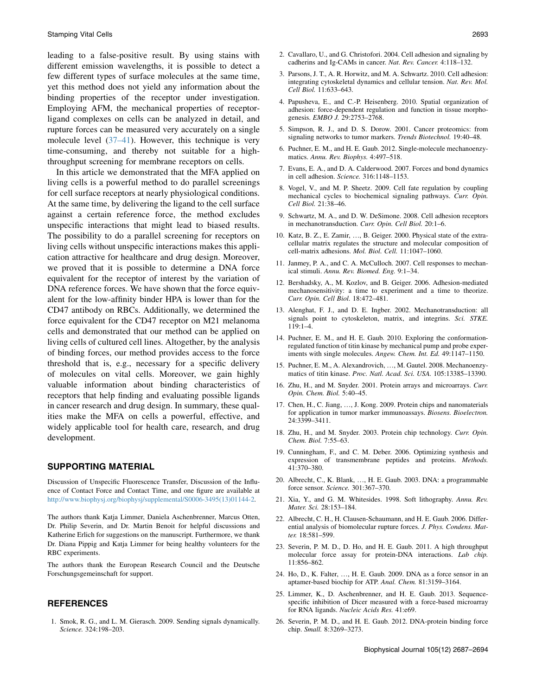<span id="page-6-0"></span>leading to a false-positive result. By using stains with different emission wavelengths, it is possible to detect a few different types of surface molecules at the same time, yet this method does not yield any information about the binding properties of the receptor under investigation. Employing AFM, the mechanical properties of receptorligand complexes on cells can be analyzed in detail, and rupture forces can be measured very accurately on a single molecule level  $(37–41)$  $(37–41)$ . However, this technique is very time-consuming, and thereby not suitable for a highthroughput screening for membrane receptors on cells.

In this article we demonstrated that the MFA applied on living cells is a powerful method to do parallel screenings for cell surface receptors at nearly physiological conditions. At the same time, by delivering the ligand to the cell surface against a certain reference force, the method excludes unspecific interactions that might lead to biased results. The possibility to do a parallel screening for receptors on living cells without unspecific interactions makes this application attractive for healthcare and drug design. Moreover, we proved that it is possible to determine a DNA force equivalent for the receptor of interest by the variation of DNA reference forces. We have shown that the force equivalent for the low-affinity binder HPA is lower than for the CD47 antibody on RBCs. Additionally, we determined the force equivalent for the CD47 receptor on M21 melanoma cells and demonstrated that our method can be applied on living cells of cultured cell lines. Altogether, by the analysis of binding forces, our method provides access to the force threshold that is, e.g., necessary for a specific delivery of molecules on vital cells. Moreover, we gain highly valuable information about binding characteristics of receptors that help finding and evaluating possible ligands in cancer research and drug design. In summary, these qualities make the MFA on cells a powerful, effective, and widely applicable tool for health care, research, and drug development.

#### SUPPORTING MATERIAL

Discussion of Unspecific Fluorescence Transfer, Discussion of the Influence of Contact Force and Contact Time, and one figure are available at [http://www.biophysj.org/biophysj/supplemental/S0006-3495\(13\)01144-2](http://www.biophysj.org/biophysj/supplemental/S0006-3495(13)01144-2).

The authors thank Katja Limmer, Daniela Aschenbrenner, Marcus Otten, Dr. Philip Severin, and Dr. Martin Benoit for helpful discussions and Katherine Erlich for suggestions on the manuscript. Furthermore, we thank Dr. Diana Pippig and Katja Limmer for being healthy volunteers for the RBC experiments.

The authors thank the European Research Council and the Deutsche Forschungsgemeinschaft for support.

### **REFERENCES**

1. Smok, R. G., and L. M. Gierasch. 2009. Sending signals dynamically. Science. 324:198–203.

- 3. Parsons, J. T., A. R. Horwitz, and M. A. Schwartz. 2010. Cell adhesion: integrating cytoskeletal dynamics and cellular tension. Nat. Rev. Mol. Cell Biol. 11:633–643.
- 4. Papusheva, E., and C.-P. Heisenberg. 2010. Spatial organization of adhesion: force-dependent regulation and function in tissue morphogenesis. EMBO J. 29:2753–2768.
- 5. Simpson, R. J., and D. S. Dorow. 2001. Cancer proteomics: from signaling networks to tumor markers. Trends Biotechnol. 19:40–48.
- 6. Puchner, E. M., and H. E. Gaub. 2012. Single-molecule mechanoenzymatics. Annu. Rev. Biophys. 4:497–518.
- 7. Evans, E. A., and D. A. Calderwood. 2007. Forces and bond dynamics in cell adhesion. Science. 316:1148–1153.
- 8. Vogel, V., and M. P. Sheetz. 2009. Cell fate regulation by coupling mechanical cycles to biochemical signaling pathways. Curr. Opin. Cell Biol. 21:38–46.
- 9. Schwartz, M. A., and D. W. DeSimone. 2008. Cell adhesion receptors in mechanotransduction. Curr. Opin. Cell Biol. 20:1–6.
- 10. Katz, B. Z., E. Zamir, ., B. Geiger. 2000. Physical state of the extracellular matrix regulates the structure and molecular composition of cell-matrix adhesions. Mol. Biol. Cell. 11:1047–1060.
- 11. Janmey, P. A., and C. A. McCulloch. 2007. Cell responses to mechanical stimuli. Annu. Rev. Biomed. Eng. 9:1–34.
- 12. Bershadsky, A., M. Kozlov, and B. Geiger. 2006. Adhesion-mediated mechanosensitivity: a time to experiment and a time to theorize. Curr. Opin. Cell Biol. 18:472–481.
- 13. Alenghat, F. J., and D. E. Ingber. 2002. Mechanotransduction: all signals point to cytoskeleton, matrix, and integrins. Sci. STKE. 119:1–4.
- 14. Puchner, E. M., and H. E. Gaub. 2010. Exploring the conformationregulated function of titin kinase by mechanical pump and probe experiments with single molecules. Angew. Chem. Int. Ed. 49:1147–1150.
- 15. Puchner, E. M., A. Alexandrovich, ..., M. Gautel. 2008. Mechanoenzymatics of titin kinase. Proc. Natl. Acad. Sci. USA. 105:13385–13390.
- 16. Zhu, H., and M. Snyder. 2001. Protein arrays and microarrays. Curr. Opin. Chem. Biol. 5:40–45.
- 17. Chen, H., C. Jiang, ..., J. Kong. 2009. Protein chips and nanomaterials for application in tumor marker immunoassays. Biosens. Bioelectron. 24:3399–3411.
- 18. Zhu, H., and M. Snyder. 2003. Protein chip technology. Curr. Opin. Chem. Biol. 7:55–63.
- 19. Cunningham, F., and C. M. Deber. 2006. Optimizing synthesis and expression of transmembrane peptides and proteins. Methods. 41:370–380.
- 20. Albrecht, C., K. Blank, ., H. E. Gaub. 2003. DNA: a programmable force sensor. Science. 301:367–370.
- 21. Xia, Y., and G. M. Whitesides. 1998. Soft lithography. Annu. Rev. Mater. Sci. 28:153–184.
- 22. Albrecht, C. H., H. Clausen-Schaumann, and H. E. Gaub. 2006. Differential analysis of biomolecular rupture forces. J. Phys. Condens. Matter. 18:581–599.
- 23. Severin, P. M. D., D. Ho, and H. E. Gaub. 2011. A high throughput molecular force assay for protein-DNA interactions. Lab chip. 11:856–862.
- 24. Ho, D., K. Falter, ..., H. E. Gaub. 2009. DNA as a force sensor in an aptamer-based biochip for ATP. Anal. Chem. 81:3159–3164.
- 25. Limmer, K., D. Aschenbrenner, and H. E. Gaub. 2013. Sequencespecific inhibition of Dicer measured with a force-based microarray for RNA ligands. Nucleic Acids Res. 41:e69.
- 26. Severin, P. M. D., and H. E. Gaub. 2012. DNA-protein binding force chip. Small. 8:3269–3273.